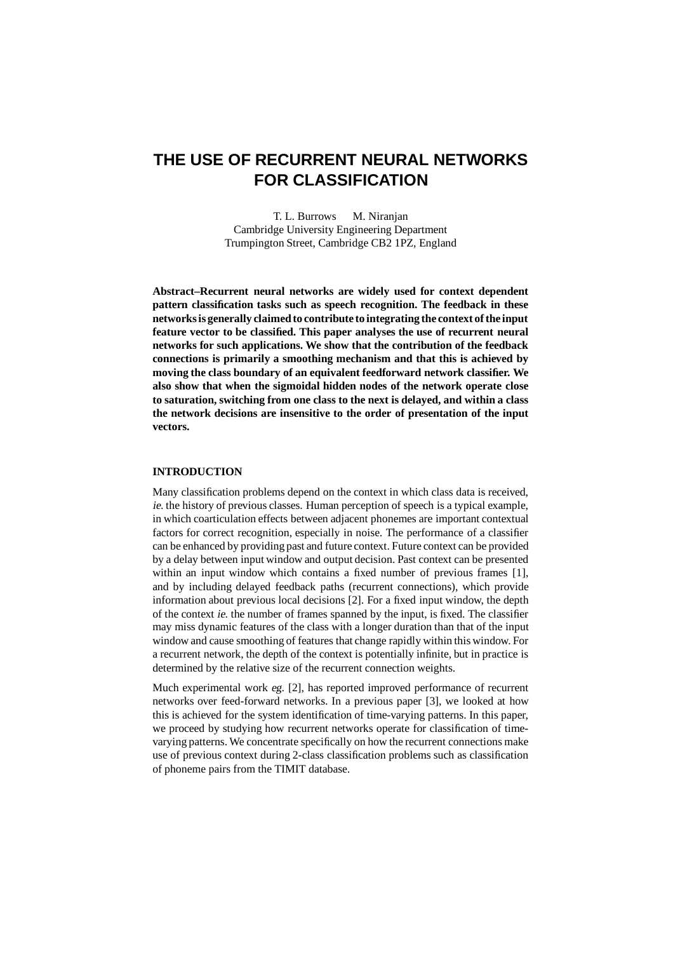# **THE USE OF RECURRENT NEURAL NETWORKS FOR CLASSIFICATION**

T. L. Burrows M. Niranjan Cambridge University Engineering Department Trumpington Street, Cambridge CB2 1PZ, England

**Abstract–Recurrent neural networks are widely used for context dependent pattern classification tasks such as speech recognition. The feedback in these networksis generally claimed to contribute to integrating the context ofthe input feature vector to be classified. This paper analyses the use of recurrent neural networks for such applications. We show that the contribution of the feedback connections is primarily a smoothing mechanism and that this is achieved by moving the class boundary of an equivalent feedforward network classifier. We also show that when the sigmoidal hidden nodes of the network operate close to saturation, switching from one class to the next is delayed, and within a class the network decisions are insensitive to the order of presentation of the input vectors.**

## **INTRODUCTION**

Many classification problems depend on the context in which class data is received, ie. the history of previous classes. Human perception of speech is a typical example, in which coarticulation effects between adjacent phonemes are important contextual factors for correct recognition, especially in noise. The performance of a classifier can be enhanced by providing past and future context. Future context can be provided by a delay between input window and output decision. Past context can be presented within an input window which contains a fixed number of previous frames [1], and by including delayed feedback paths (recurrent connections), which provide information about previous local decisions [2]. For a fixed input window, the depth of the context ie. the number of frames spanned by the input, is fixed. The classifier may miss dynamic features of the class with a longer duration than that of the input window and cause smoothing of features that change rapidly within this window. For a recurrent network, the depth of the context is potentially infinite, but in practice is determined by the relative size of the recurrent connection weights.

Much experimental work eg. [2], has reported improved performance of recurrent networks over feed-forward networks. In a previous paper [3], we looked at how this is achieved for the system identification of time-varying patterns. In this paper, we proceed by studying how recurrent networks operate for classification of timevarying patterns. We concentrate specifically on how the recurrent connections make use of previous context during 2-class classification problems such as classification of phoneme pairs from the TIMIT database.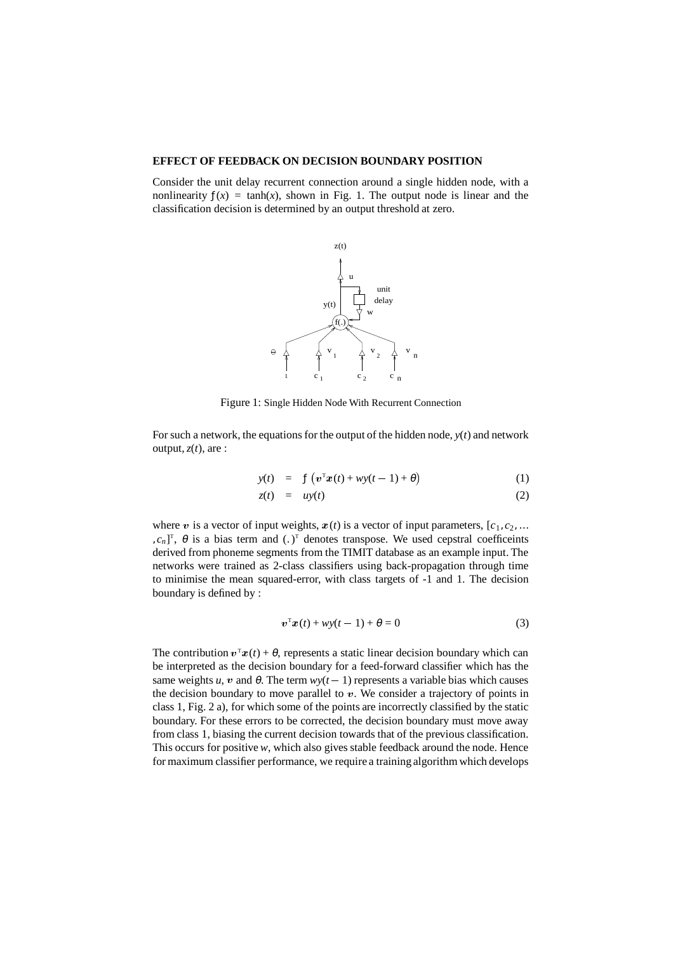#### **EFFECT OF FEEDBACK ON DECISION BOUNDARY POSITION**

Consider the unit delay recurrent connection around a single hidden node, with a nonlinearity  $f(x) = \tanh(x)$ , shown in Fig. 1. The output node is linear and the classification decision is determined by an output threshold at zero.



Figure 1: Single Hidden Node With Recurrent Connection

For such a network, the equations for the output of the hidden node, *y*(*t*) and network output,  $z(t)$ , are :

$$
y(t) = f(\mathbf{v}^{\mathrm{T}}\mathbf{x}(t) + w y(t-1) + \theta)
$$
 (1)

$$
z(t) = uy(t) \tag{2}
$$

where  $v$  is a vector of input weights,  $x(t)$  is a vector of input parameters,  $[c_1, c_2, \ldots]$  $,c_n$ <sup>T</sup>,  $\theta$  is a bias term and (.)<sup>T</sup> denotes transpose. We used cepstral coefficeints derived from phoneme segments from the TIMIT database as an example input. The networks were trained as 2-class classifiers using back-propagation through time to minimise the mean squared-error, with class targets of -1 and 1. The decision boundary is defined by :

$$
\boldsymbol{v}^{\mathrm{T}}\boldsymbol{x}(t) + w\boldsymbol{y}(t-1) + \boldsymbol{\theta} = 0 \tag{3}
$$

The contribution  $v^{\mathrm{T}}x(t) + \theta$ , represents a static linear decision boundary which can be interpreted as the decision boundary for a feed-forward classifier which has the same weights  $u$ ,  $v$  and  $\theta$ . The term  $wy(t-1)$  represents a variable bias which causes the decision boundary to move parallel to  $v$ . We consider a trajectory of points in class 1, Fig. 2 a), for which some of the points are incorrectly classified by the static boundary. For these errors to be corrected, the decision boundary must move away from class 1, biasing the current decision towards that of the previous classification. This occurs for positive *w*, which also gives stable feedback around the node. Hence for maximum classifier performance, we require a training algorithm which develops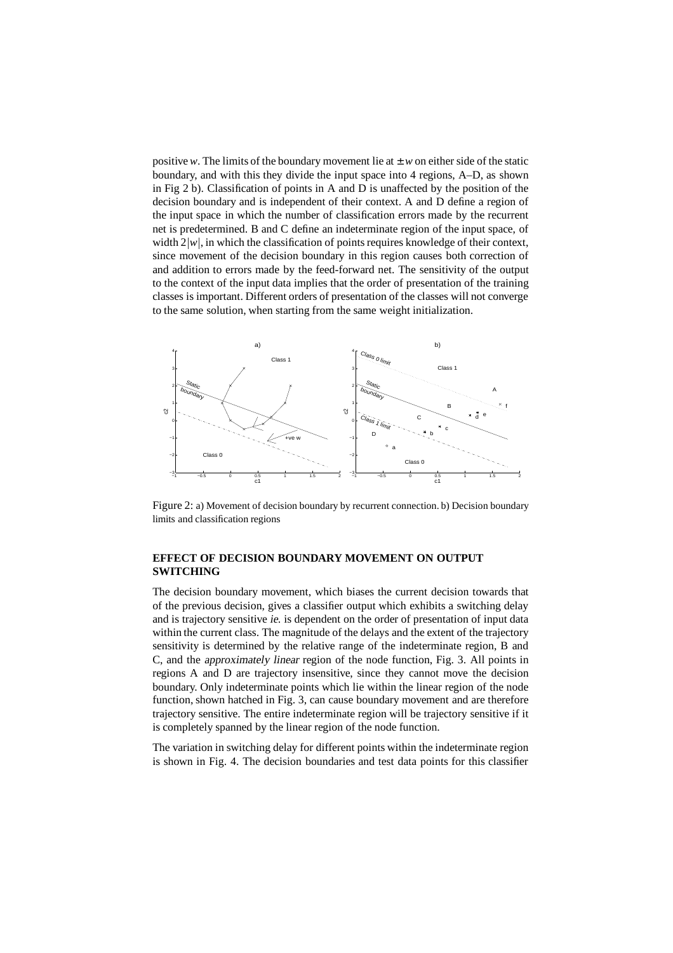positive *w*. The limits of the boundary movement lie at  $\pm w$  on either side of the static boundary, and with this they divide the input space into 4 regions, A–D, as shown in Fig 2 b). Classification of points in A and D is unaffected by the position of the decision boundary and is independent of their context. A and D define a region of the input space in which the number of classification errors made by the recurrent net is predetermined. B and C define an indeterminate region of the input space, of width  $2|w|$ , in which the classification of points requires knowledge of their context, since movement of the decision boundary in this region causes both correction of and addition to errors made by the feed-forward net. The sensitivity of the output to the context of the input data implies that the order of presentation of the training classes is important. Different orders of presentation of the classes will not converge to the same solution, when starting from the same weight initialization.



Figure 2: a) Movement of decision boundary by recurrent connection. b) Decision boundary limits and classification regions

#### **EFFECT OF DECISION BOUNDARY MOVEMENT ON OUTPUT SWITCHING**

The decision boundary movement, which biases the current decision towards that of the previous decision, gives a classifier output which exhibits a switching delay and is trajectory sensitive ie. is dependent on the order of presentation of input data within the current class. The magnitude of the delays and the extent of the trajectory sensitivity is determined by the relative range of the indeterminate region, B and C, and the approximately linear region of the node function, Fig. 3. All points in regions A and D are trajectory insensitive, since they cannot move the decision boundary. Only indeterminate points which lie within the linear region of the node function, shown hatched in Fig. 3, can cause boundary movement and are therefore trajectory sensitive. The entire indeterminate region will be trajectory sensitive if it is completely spanned by the linear region of the node function.

The variation in switching delay for different points within the indeterminate region is shown in Fig. 4. The decision boundaries and test data points for this classifier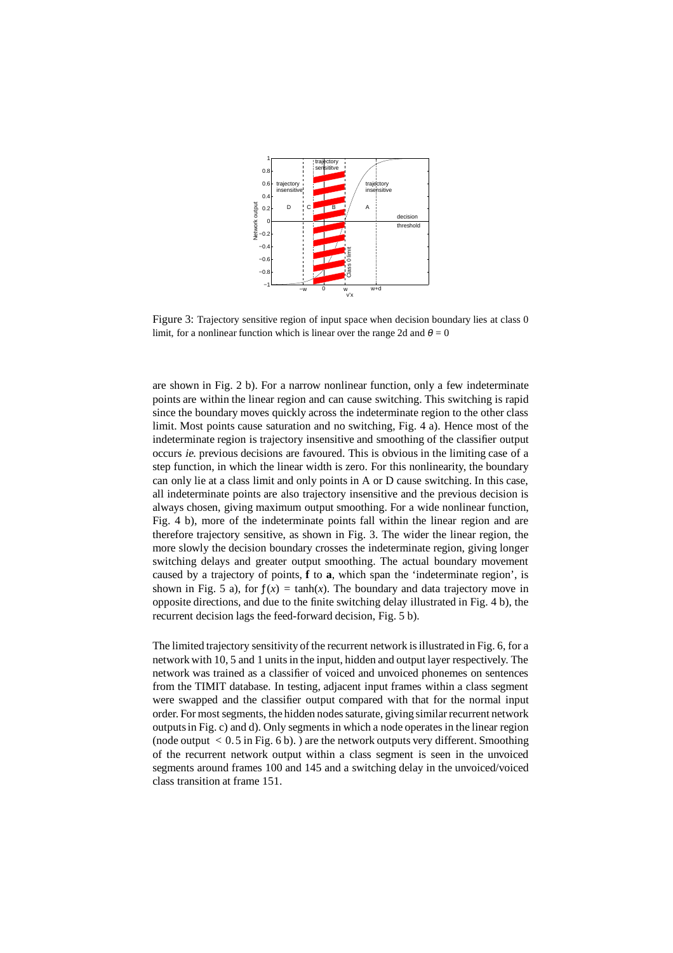

Figure 3: Trajectory sensitive region of input space when decision boundary lies at class 0 limit, for a nonlinear function which is linear over the range 2d and  $\theta = 0$ 

are shown in Fig. 2 b). For a narrow nonlinear function, only a few indeterminate points are within the linear region and can cause switching. This switching is rapid since the boundary moves quickly across the indeterminate region to the other class limit. Most points cause saturation and no switching, Fig. 4 a). Hence most of the indeterminate region is trajectory insensitive and smoothing of the classifier output occurs ie. previous decisions are favoured. This is obvious in the limiting case of a step function, in which the linear width is zero. For this nonlinearity, the boundary can only lie at a class limit and only points in A or D cause switching. In this case, all indeterminate points are also trajectory insensitive and the previous decision is always chosen, giving maximum output smoothing. For a wide nonlinear function, Fig. 4 b), more of the indeterminate points fall within the linear region and are therefore trajectory sensitive, as shown in Fig. 3. The wider the linear region, the more slowly the decision boundary crosses the indeterminate region, giving longer switching delays and greater output smoothing. The actual boundary movement caused by a trajectory of points, **f** to **a**, which span the 'indeterminate region', is shown in Fig. 5 a), for  $f(x) = \tanh(x)$ . The boundary and data trajectory move in opposite directions, and due to the finite switching delay illustrated in Fig. 4 b), the recurrent decision lags the feed-forward decision, Fig. 5 b).

The limited trajectory sensitivity of the recurrent network is illustrated in Fig. 6, for a network with 10, 5 and 1 units in the input, hidden and output layer respectively. The network was trained as a classifier of voiced and unvoiced phonemes on sentences from the TIMIT database. In testing, adjacent input frames within a class segment were swapped and the classifier output compared with that for the normal input order. For most segments, the hidden nodes saturate, giving similar recurrent network outputsin Fig. c) and d). Only segments in which a node operates in the linear region (node output  $\langle 0.5 \text{ in Fig. 6 b} \rangle$ ) are the network outputs very different. Smoothing of the recurrent network output within a class segment is seen in the unvoiced segments around frames 100 and 145 and a switching delay in the unvoiced/voiced class transition at frame 151.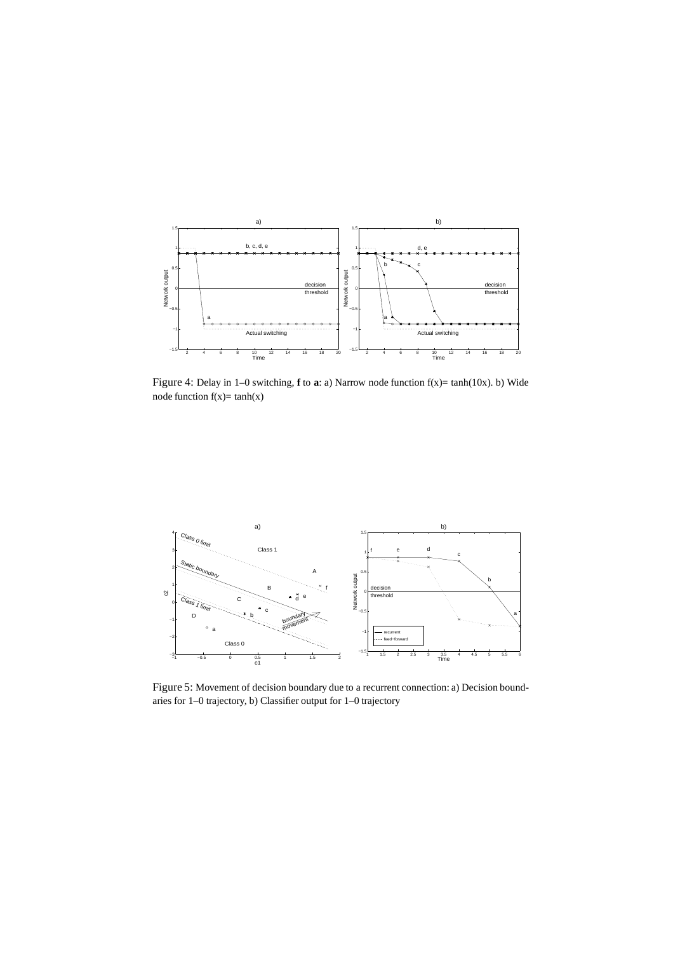

Figure 4: Delay in 1–0 switching, **f** to **a**: a) Narrow node function f(x)= tanh(10x). b) Wide node function  $f(x)$ = tanh(x)



Figure 5: Movement of decision boundary due to a recurrent connection: a) Decision boundaries for 1–0 trajectory, b) Classifier output for 1–0 trajectory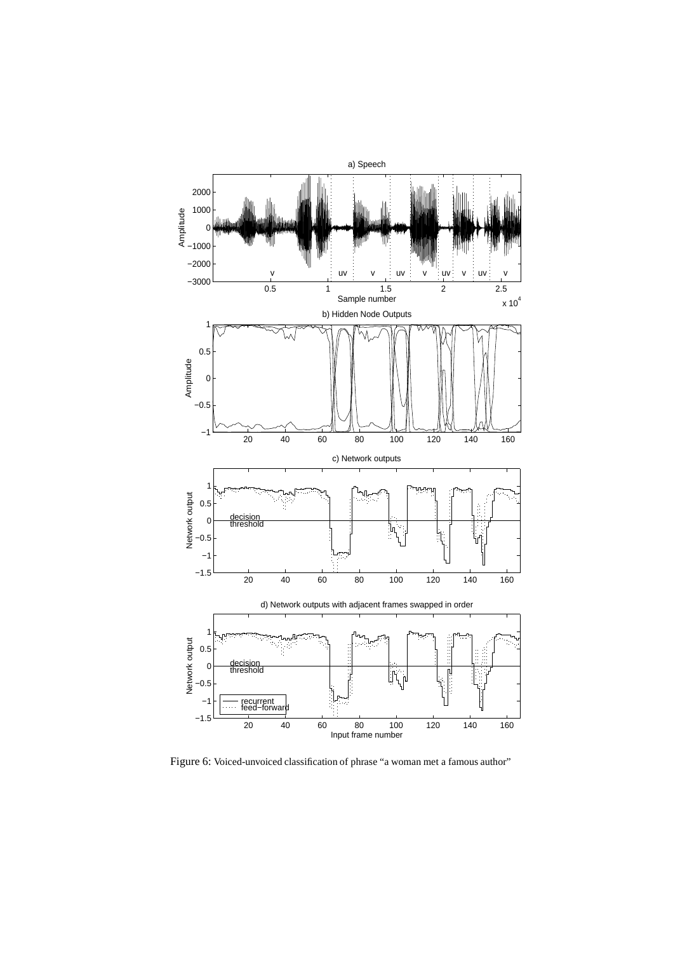

Figure 6: Voiced-unvoiced classification of phrase "a woman met a famous author"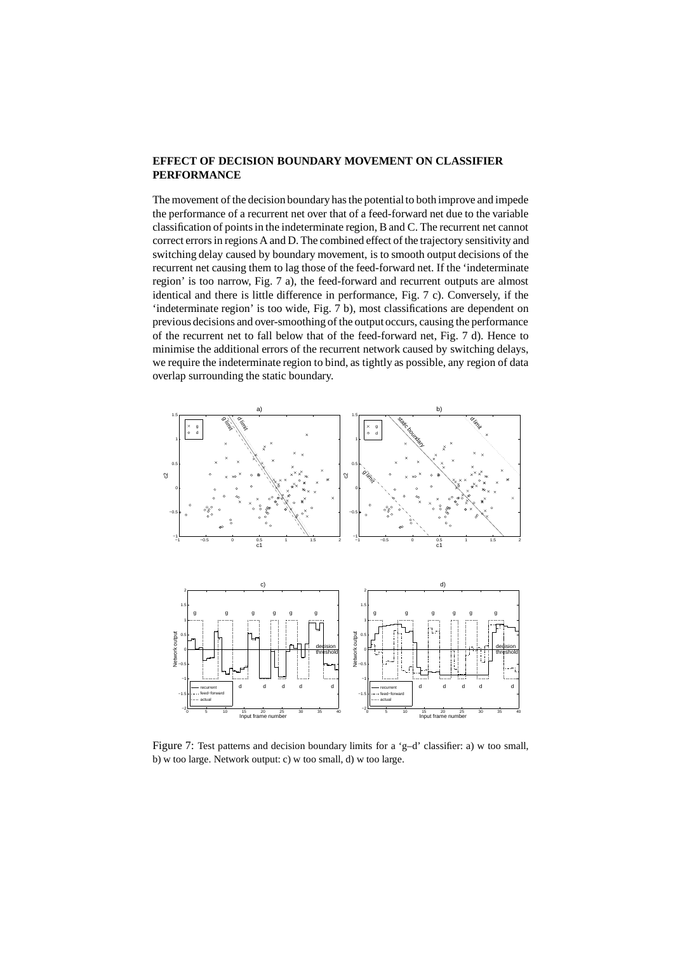## **EFFECT OF DECISION BOUNDARY MOVEMENT ON CLASSIFIER PERFORMANCE**

The movement of the decision boundary has the potential to both improve and impede the performance of a recurrent net over that of a feed-forward net due to the variable classification of pointsin the indeterminate region, B and C. The recurrent net cannot correct errorsin regions A and D. The combined effect of the trajectory sensitivity and switching delay caused by boundary movement, is to smooth output decisions of the recurrent net causing them to lag those of the feed-forward net. If the 'indeterminate region' is too narrow, Fig. 7 a), the feed-forward and recurrent outputs are almost identical and there is little difference in performance, Fig. 7 c). Conversely, if the 'indeterminate region' is too wide, Fig. 7 b), most classifications are dependent on previous decisions and over-smoothing of the outputoccurs, causing the performance of the recurrent net to fall below that of the feed-forward net, Fig. 7 d). Hence to minimise the additional errors of the recurrent network caused by switching delays, we require the indeterminate region to bind, as tightly as possible, any region of data overlap surrounding the static boundary.



Figure 7: Test patterns and decision boundary limits for a 'g–d' classifier: a) w too small, b) w too large. Network output: c) w too small, d) w too large.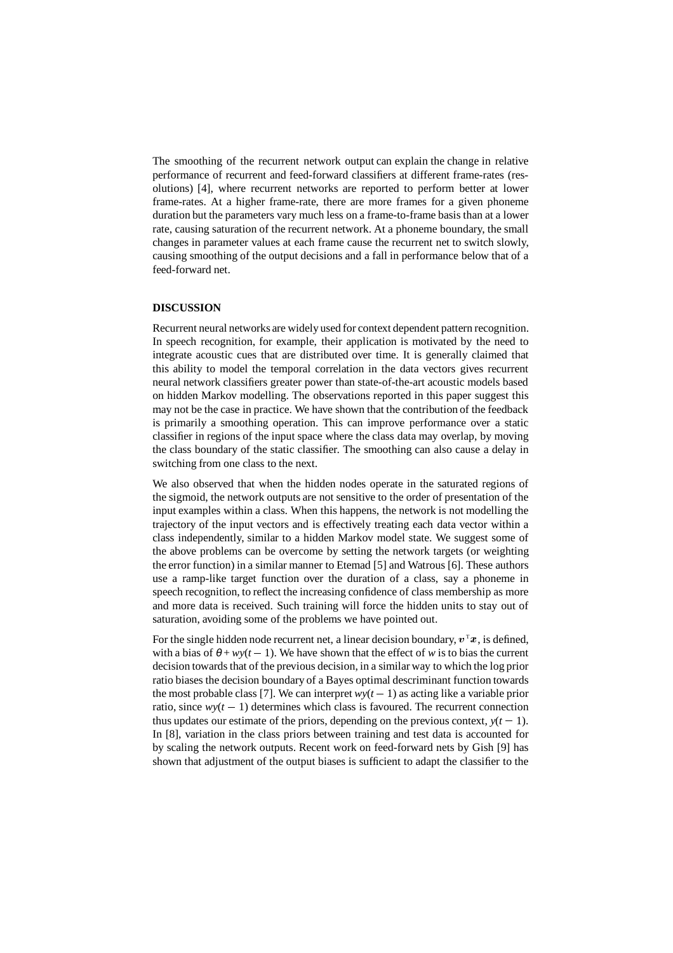The smoothing of the recurrent network output can explain the change in relative performance of recurrent and feed-forward classifiers at different frame-rates (resolutions) [4], where recurrent networks are reported to perform better at lower frame-rates. At a higher frame-rate, there are more frames for a given phoneme duration but the parameters vary much less on a frame-to-frame basis than at a lower rate, causing saturation of the recurrent network. At a phoneme boundary, the small changes in parameter values at each frame cause the recurrent net to switch slowly, causing smoothing of the output decisions and a fall in performance below that of a feed-forward net.

#### **DISCUSSION**

Recurrent neural networks are widely used for context dependent pattern recognition. In speech recognition, for example, their application is motivated by the need to integrate acoustic cues that are distributed over time. It is generally claimed that this ability to model the temporal correlation in the data vectors gives recurrent neural network classifiers greater power than state-of-the-art acoustic models based on hidden Markov modelling. The observations reported in this paper suggest this may not be the case in practice. We have shown that the contribution of the feedback is primarily a smoothing operation. This can improve performance over a static classifier in regions of the input space where the class data may overlap, by moving the class boundary of the static classifier. The smoothing can also cause a delay in switching from one class to the next.

We also observed that when the hidden nodes operate in the saturated regions of the sigmoid, the network outputs are not sensitive to the order of presentation of the input examples within a class. When this happens, the network is not modelling the trajectory of the input vectors and is effectively treating each data vector within a class independently, similar to a hidden Markov model state. We suggest some of the above problems can be overcome by setting the network targets (or weighting the error function) in a similar manner to Etemad [5] and Watrous [6]. These authors use a ramp-like target function over the duration of a class, say a phoneme in speech recognition, to reflect the increasing confidence of class membership as more and more data is received. Such training will force the hidden units to stay out of saturation, avoiding some of the problems we have pointed out.

For the single hidden node recurrent net, a linear decision boundary,  $v^{\mathrm{T}}x$ , is defined, with a bias of  $\theta$  +  $w\dot{v}(t-1)$ . We have shown that the effect of *w* is to bias the current decision towards that of the previous decision, in a similar way to which the log prior ratio biases the decision boundary of a Bayes optimal descriminant function towards the most probable class [7]. We can interpret  $wy(t-1)$  as acting like a variable prior ratio, since  $wy(t - 1)$  determines which class is favoured. The recurrent connection thus updates our estimate of the priors, depending on the previous context,  $y(t - 1)$ . In [8], variation in the class priors between training and test data is accounted for by scaling the network outputs. Recent work on feed-forward nets by Gish [9] has shown that adjustment of the output biases is sufficient to adapt the classifier to the